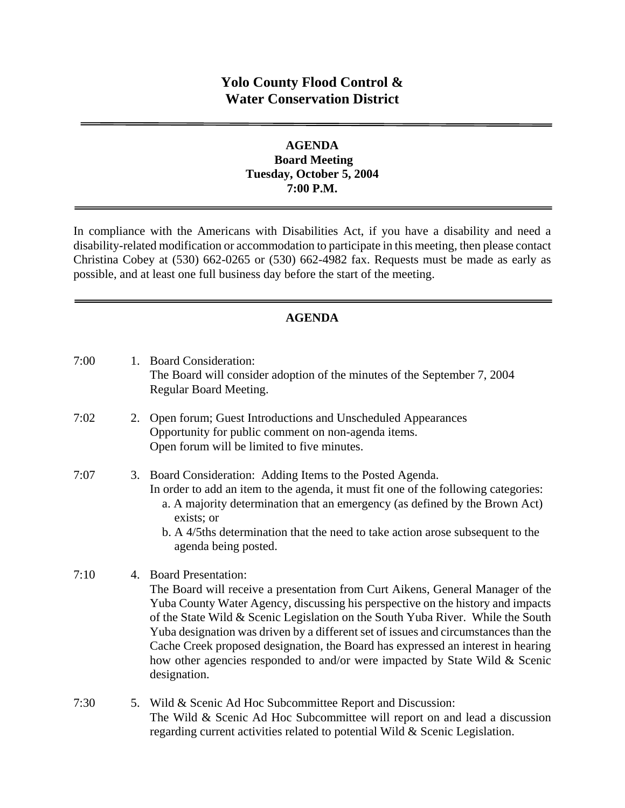# **Yolo County Flood Control & Water Conservation District**

#### **AGENDA Board Meeting Tuesday, October 5, 2004 7:00 P.M.**

In compliance with the Americans with Disabilities Act, if you have a disability and need a disability-related modification or accommodation to participate in this meeting, then please contact Christina Cobey at (530) 662-0265 or (530) 662-4982 fax. Requests must be made as early as possible, and at least one full business day before the start of the meeting.

### **AGENDA**

| 7:00 |    | 1. Board Consideration:<br>The Board will consider adoption of the minutes of the September 7, 2004<br>Regular Board Meeting.                                                                                                                                                                                                                                                                                                                                                                                                                                |
|------|----|--------------------------------------------------------------------------------------------------------------------------------------------------------------------------------------------------------------------------------------------------------------------------------------------------------------------------------------------------------------------------------------------------------------------------------------------------------------------------------------------------------------------------------------------------------------|
| 7:02 | 2. | Open forum; Guest Introductions and Unscheduled Appearances<br>Opportunity for public comment on non-agenda items.<br>Open forum will be limited to five minutes.                                                                                                                                                                                                                                                                                                                                                                                            |
| 7:07 |    | 3. Board Consideration: Adding Items to the Posted Agenda.<br>In order to add an item to the agenda, it must fit one of the following categories:<br>a. A majority determination that an emergency (as defined by the Brown Act)<br>exists; or<br>b. A 4/5ths determination that the need to take action arose subsequent to the<br>agenda being posted.                                                                                                                                                                                                     |
| 7:10 | 4. | <b>Board Presentation:</b><br>The Board will receive a presentation from Curt Aikens, General Manager of the<br>Yuba County Water Agency, discussing his perspective on the history and impacts<br>of the State Wild & Scenic Legislation on the South Yuba River. While the South<br>Yuba designation was driven by a different set of issues and circumstances than the<br>Cache Creek proposed designation, the Board has expressed an interest in hearing<br>how other agencies responded to and/or were impacted by State Wild & Scenic<br>designation. |
| 7:30 | 5. | Wild & Scenic Ad Hoc Subcommittee Report and Discussion:<br>The Wild & Scenic Ad Hoc Subcommittee will report on and lead a discussion<br>regarding current activities related to potential Wild & Scenic Legislation.                                                                                                                                                                                                                                                                                                                                       |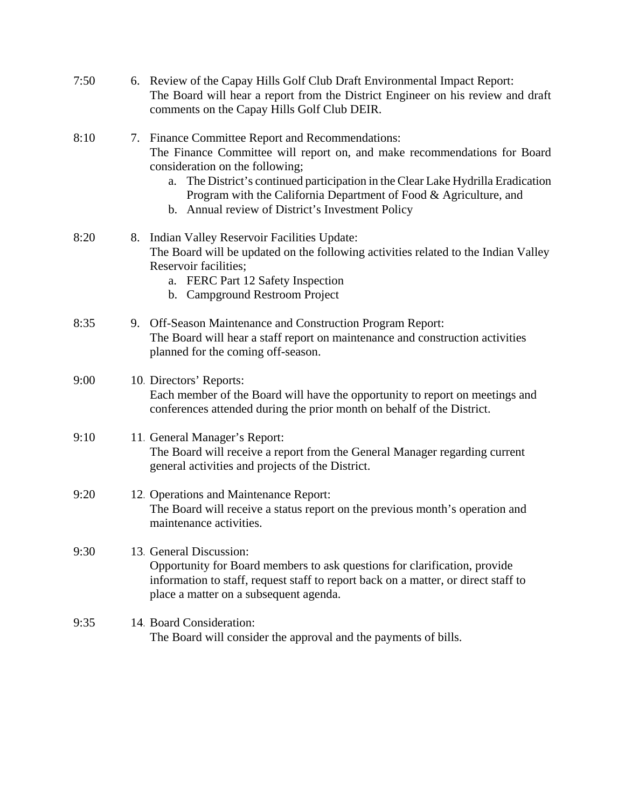| 7:50 | 6. Review of the Capay Hills Golf Club Draft Environmental Impact Report:<br>The Board will hear a report from the District Engineer on his review and draft<br>comments on the Capay Hills Golf Club DEIR.                                                                                                                                                                     |
|------|---------------------------------------------------------------------------------------------------------------------------------------------------------------------------------------------------------------------------------------------------------------------------------------------------------------------------------------------------------------------------------|
| 8:10 | 7. Finance Committee Report and Recommendations:<br>The Finance Committee will report on, and make recommendations for Board<br>consideration on the following;<br>The District's continued participation in the Clear Lake Hydrilla Eradication<br>a.<br>Program with the California Department of Food & Agriculture, and<br>b. Annual review of District's Investment Policy |
| 8:20 | 8. Indian Valley Reservoir Facilities Update:<br>The Board will be updated on the following activities related to the Indian Valley<br>Reservoir facilities;<br>a. FERC Part 12 Safety Inspection<br>b. Campground Restroom Project                                                                                                                                             |
| 8:35 | 9. Off-Season Maintenance and Construction Program Report:<br>The Board will hear a staff report on maintenance and construction activities<br>planned for the coming off-season.                                                                                                                                                                                               |
| 9:00 | 10. Directors' Reports:<br>Each member of the Board will have the opportunity to report on meetings and<br>conferences attended during the prior month on behalf of the District.                                                                                                                                                                                               |
| 9:10 | 11. General Manager's Report:<br>The Board will receive a report from the General Manager regarding current<br>general activities and projects of the District.                                                                                                                                                                                                                 |
| 9:20 | 12. Operations and Maintenance Report:<br>The Board will receive a status report on the previous month's operation and<br>maintenance activities.                                                                                                                                                                                                                               |
| 9:30 | 13 General Discussion:<br>Opportunity for Board members to ask questions for clarification, provide<br>information to staff, request staff to report back on a matter, or direct staff to<br>place a matter on a subsequent agenda.                                                                                                                                             |
| 9:35 | 14. Board Consideration:<br>The Board will consider the approval and the payments of bills.                                                                                                                                                                                                                                                                                     |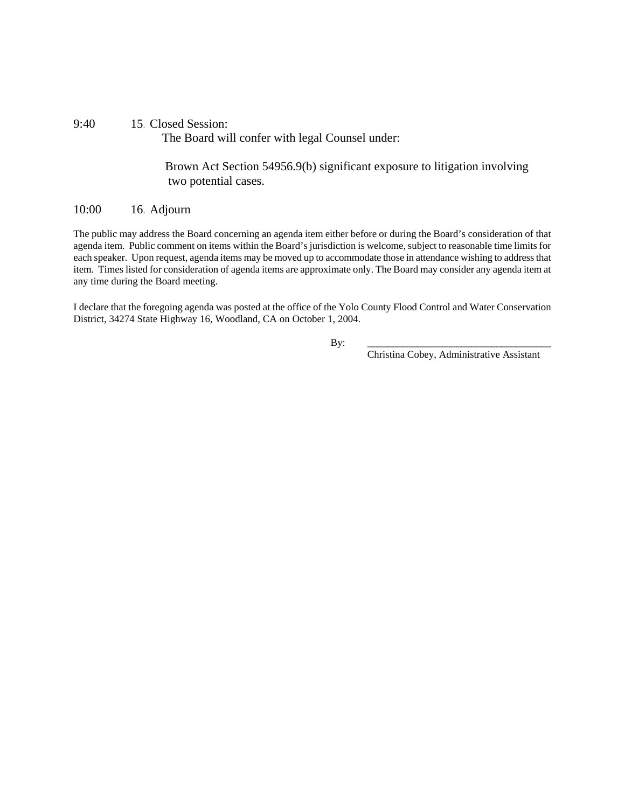#### 9:40 15. Closed Session: The Board will confer with legal Counsel under:

 Brown Act Section 54956.9(b) significant exposure to litigation involving two potential cases.

#### 10:00 16. Adjourn

The public may address the Board concerning an agenda item either before or during the Board's consideration of that agenda item. Public comment on items within the Board's jurisdiction is welcome, subject to reasonable time limits for each speaker. Upon request, agenda items may be moved up to accommodate those in attendance wishing to address that item. Times listed for consideration of agenda items are approximate only. The Board may consider any agenda item at any time during the Board meeting.

I declare that the foregoing agenda was posted at the office of the Yolo County Flood Control and Water Conservation District, 34274 State Highway 16, Woodland, CA on October 1, 2004.

By: \_\_\_\_\_\_\_\_\_\_\_\_\_\_\_\_\_\_\_\_\_\_\_\_\_\_\_\_\_\_\_\_\_\_\_\_\_

Christina Cobey, Administrative Assistant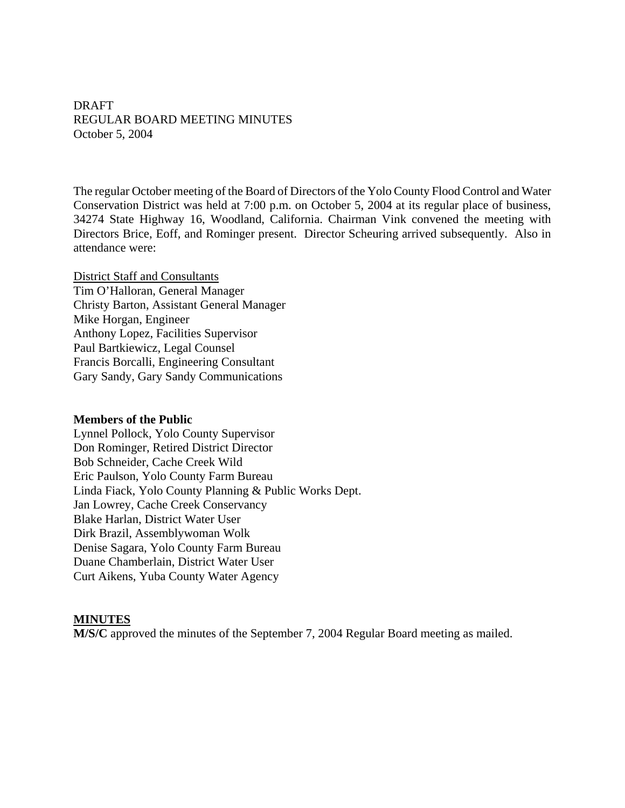DRAFT REGULAR BOARD MEETING MINUTES October 5, 2004

The regular October meeting of the Board of Directors of the Yolo County Flood Control and Water Conservation District was held at 7:00 p.m. on October 5, 2004 at its regular place of business, 34274 State Highway 16, Woodland, California. Chairman Vink convened the meeting with Directors Brice, Eoff, and Rominger present. Director Scheuring arrived subsequently. Also in attendance were:

District Staff and Consultants Tim O'Halloran, General Manager Christy Barton, Assistant General Manager Mike Horgan, Engineer Anthony Lopez, Facilities Supervisor Paul Bartkiewicz, Legal Counsel Francis Borcalli, Engineering Consultant Gary Sandy, Gary Sandy Communications

#### **Members of the Public**

Lynnel Pollock, Yolo County Supervisor Don Rominger, Retired District Director Bob Schneider, Cache Creek Wild Eric Paulson, Yolo County Farm Bureau Linda Fiack, Yolo County Planning & Public Works Dept. Jan Lowrey, Cache Creek Conservancy Blake Harlan, District Water User Dirk Brazil, Assemblywoman Wolk Denise Sagara, Yolo County Farm Bureau Duane Chamberlain, District Water User Curt Aikens, Yuba County Water Agency

#### **MINUTES**

**M/S/C** approved the minutes of the September 7, 2004 Regular Board meeting as mailed.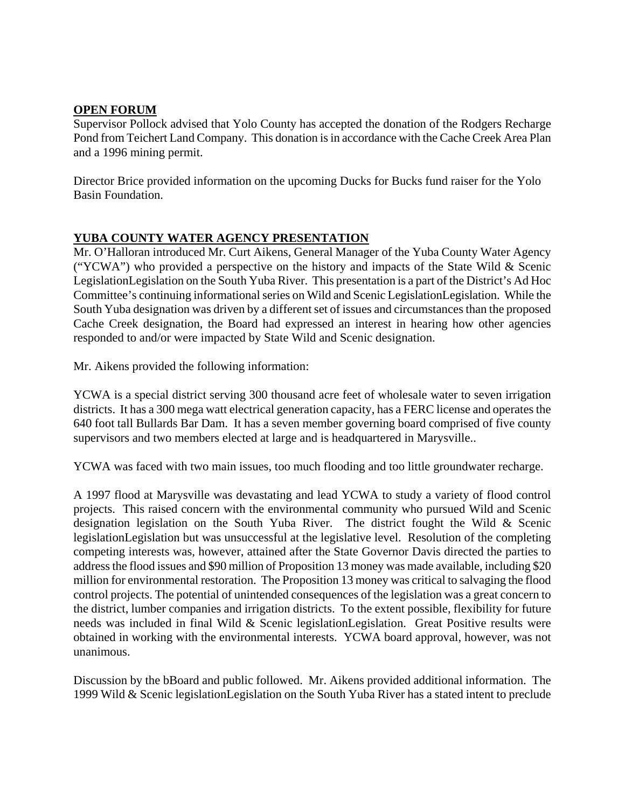#### **OPEN FORUM**

Supervisor Pollock advised that Yolo County has accepted the donation of the Rodgers Recharge Pond from Teichert Land Company. This donation is in accordance with the Cache Creek Area Plan and a 1996 mining permit.

Director Brice provided information on the upcoming Ducks for Bucks fund raiser for the Yolo Basin Foundation.

### **YUBA COUNTY WATER AGENCY PRESENTATION**

Mr. O'Halloran introduced Mr. Curt Aikens, General Manager of the Yuba County Water Agency ("YCWA") who provided a perspective on the history and impacts of the State Wild & Scenic LegislationLegislation on the South Yuba River. This presentation is a part of the District's Ad Hoc Committee's continuing informational series on Wild and Scenic LegislationLegislation. While the South Yuba designation was driven by a different set of issues and circumstances than the proposed Cache Creek designation, the Board had expressed an interest in hearing how other agencies responded to and/or were impacted by State Wild and Scenic designation.

Mr. Aikens provided the following information:

YCWA is a special district serving 300 thousand acre feet of wholesale water to seven irrigation districts. It has a 300 mega watt electrical generation capacity, has a FERC license and operates the 640 foot tall Bullards Bar Dam. It has a seven member governing board comprised of five county supervisors and two members elected at large and is headquartered in Marysville..

YCWA was faced with two main issues, too much flooding and too little groundwater recharge.

A 1997 flood at Marysville was devastating and lead YCWA to study a variety of flood control projects. This raised concern with the environmental community who pursued Wild and Scenic designation legislation on the South Yuba River. The district fought the Wild & Scenic legislationLegislation but was unsuccessful at the legislative level. Resolution of the completing competing interests was, however, attained after the State Governor Davis directed the parties to address the flood issues and \$90 million of Proposition 13 money was made available, including \$20 million for environmental restoration. The Proposition 13 money was critical to salvaging the flood control projects. The potential of unintended consequences of the legislation was a great concern to the district, lumber companies and irrigation districts. To the extent possible, flexibility for future needs was included in final Wild & Scenic legislationLegislation. Great Positive results were obtained in working with the environmental interests. YCWA board approval, however, was not unanimous.

Discussion by the bBoard and public followed. Mr. Aikens provided additional information. The 1999 Wild & Scenic legislationLegislation on the South Yuba River has a stated intent to preclude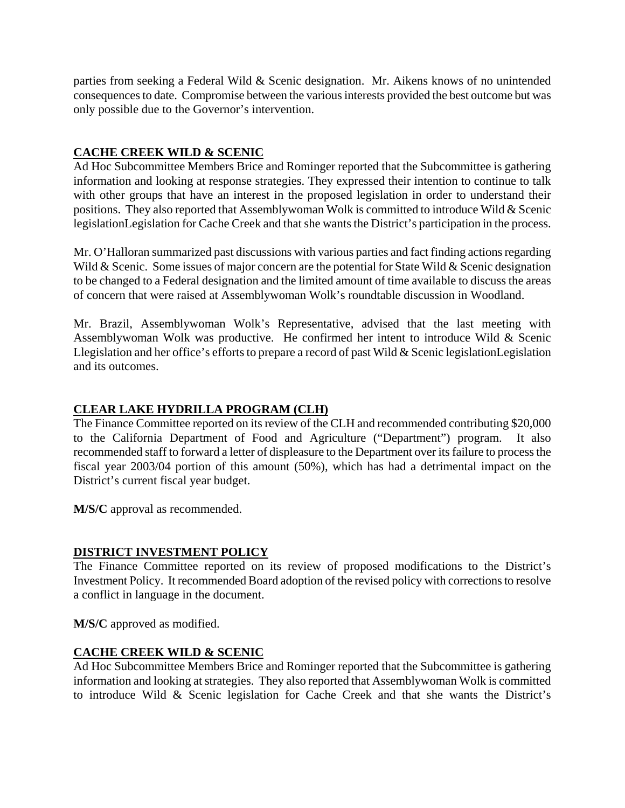parties from seeking a Federal Wild & Scenic designation. Mr. Aikens knows of no unintended consequences to date. Compromise between the various interests provided the best outcome but was only possible due to the Governor's intervention.

## **CACHE CREEK WILD & SCENIC**

Ad Hoc Subcommittee Members Brice and Rominger reported that the Subcommittee is gathering information and looking at response strategies. They expressed their intention to continue to talk with other groups that have an interest in the proposed legislation in order to understand their positions. They also reported that Assemblywoman Wolk is committed to introduce Wild & Scenic legislationLegislation for Cache Creek and that she wants the District's participation in the process.

Mr. O'Halloran summarized past discussions with various parties and fact finding actions regarding Wild & Scenic. Some issues of major concern are the potential for State Wild & Scenic designation to be changed to a Federal designation and the limited amount of time available to discuss the areas of concern that were raised at Assemblywoman Wolk's roundtable discussion in Woodland.

Mr. Brazil, Assemblywoman Wolk's Representative, advised that the last meeting with Assemblywoman Wolk was productive. He confirmed her intent to introduce Wild & Scenic Llegislation and her office's efforts to prepare a record of past Wild & Scenic legislationLegislation and its outcomes.

# **CLEAR LAKE HYDRILLA PROGRAM (CLH)**

The Finance Committee reported on its review of the CLH and recommended contributing \$20,000 to the California Department of Food and Agriculture ("Department") program. It also recommended staff to forward a letter of displeasure to the Department over its failure to process the fiscal year 2003/04 portion of this amount (50%), which has had a detrimental impact on the District's current fiscal year budget.

**M/S/C** approval as recommended.

### **DISTRICT INVESTMENT POLICY**

The Finance Committee reported on its review of proposed modifications to the District's Investment Policy. It recommended Board adoption of the revised policy with corrections to resolve a conflict in language in the document.

**M/S/C** approved as modified.

### **CACHE CREEK WILD & SCENIC**

Ad Hoc Subcommittee Members Brice and Rominger reported that the Subcommittee is gathering information and looking at strategies. They also reported that Assemblywoman Wolk is committed to introduce Wild & Scenic legislation for Cache Creek and that she wants the District's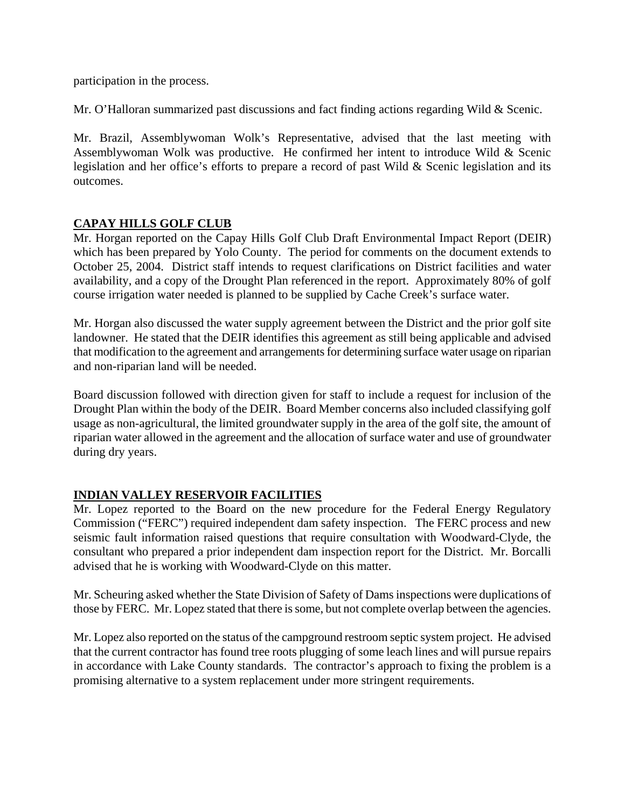participation in the process.

Mr. O'Halloran summarized past discussions and fact finding actions regarding Wild & Scenic.

Mr. Brazil, Assemblywoman Wolk's Representative, advised that the last meeting with Assemblywoman Wolk was productive. He confirmed her intent to introduce Wild & Scenic legislation and her office's efforts to prepare a record of past Wild & Scenic legislation and its outcomes.

### **CAPAY HILLS GOLF CLUB**

Mr. Horgan reported on the Capay Hills Golf Club Draft Environmental Impact Report (DEIR) which has been prepared by Yolo County. The period for comments on the document extends to October 25, 2004. District staff intends to request clarifications on District facilities and water availability, and a copy of the Drought Plan referenced in the report. Approximately 80% of golf course irrigation water needed is planned to be supplied by Cache Creek's surface water.

Mr. Horgan also discussed the water supply agreement between the District and the prior golf site landowner. He stated that the DEIR identifies this agreement as still being applicable and advised that modification to the agreement and arrangements for determining surface water usage on riparian and non-riparian land will be needed.

Board discussion followed with direction given for staff to include a request for inclusion of the Drought Plan within the body of the DEIR. Board Member concerns also included classifying golf usage as non-agricultural, the limited groundwater supply in the area of the golf site, the amount of riparian water allowed in the agreement and the allocation of surface water and use of groundwater during dry years.

### **INDIAN VALLEY RESERVOIR FACILITIES**

Mr. Lopez reported to the Board on the new procedure for the Federal Energy Regulatory Commission ("FERC") required independent dam safety inspection. The FERC process and new seismic fault information raised questions that require consultation with Woodward-Clyde, the consultant who prepared a prior independent dam inspection report for the District. Mr. Borcalli advised that he is working with Woodward-Clyde on this matter.

Mr. Scheuring asked whether the State Division of Safety of Dams inspections were duplications of those by FERC. Mr. Lopez stated that there is some, but not complete overlap between the agencies.

Mr. Lopez also reported on the status of the campground restroom septic system project. He advised that the current contractor has found tree roots plugging of some leach lines and will pursue repairs in accordance with Lake County standards. The contractor's approach to fixing the problem is a promising alternative to a system replacement under more stringent requirements.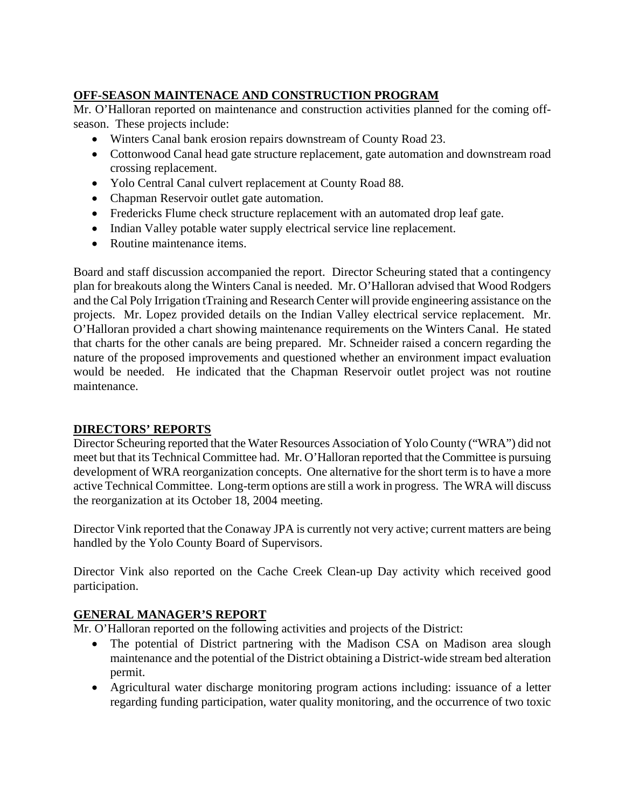# **OFF-SEASON MAINTENACE AND CONSTRUCTION PROGRAM**

Mr. O'Halloran reported on maintenance and construction activities planned for the coming offseason. These projects include:

- Winters Canal bank erosion repairs downstream of County Road 23.
- Cottonwood Canal head gate structure replacement, gate automation and downstream road crossing replacement.
- Yolo Central Canal culvert replacement at County Road 88.
- Chapman Reservoir outlet gate automation.
- Fredericks Flume check structure replacement with an automated drop leaf gate.
- Indian Valley potable water supply electrical service line replacement.
- Routine maintenance items.

Board and staff discussion accompanied the report. Director Scheuring stated that a contingency plan for breakouts along the Winters Canal is needed. Mr. O'Halloran advised that Wood Rodgers and the Cal Poly Irrigation tTraining and Research Center will provide engineering assistance on the projects. Mr. Lopez provided details on the Indian Valley electrical service replacement. Mr. O'Halloran provided a chart showing maintenance requirements on the Winters Canal. He stated that charts for the other canals are being prepared. Mr. Schneider raised a concern regarding the nature of the proposed improvements and questioned whether an environment impact evaluation would be needed. He indicated that the Chapman Reservoir outlet project was not routine maintenance.

# **DIRECTORS' REPORTS**

Director Scheuring reported that the Water Resources Association of Yolo County ("WRA") did not meet but that its Technical Committee had. Mr. O'Halloran reported that the Committee is pursuing development of WRA reorganization concepts. One alternative for the short term is to have a more active Technical Committee. Long-term options are still a work in progress. The WRA will discuss the reorganization at its October 18, 2004 meeting.

Director Vink reported that the Conaway JPA is currently not very active; current matters are being handled by the Yolo County Board of Supervisors.

Director Vink also reported on the Cache Creek Clean-up Day activity which received good participation.

# **GENERAL MANAGER'S REPORT**

Mr. O'Halloran reported on the following activities and projects of the District:

- The potential of District partnering with the Madison CSA on Madison area slough maintenance and the potential of the District obtaining a District-wide stream bed alteration permit.
- Agricultural water discharge monitoring program actions including: issuance of a letter regarding funding participation, water quality monitoring, and the occurrence of two toxic